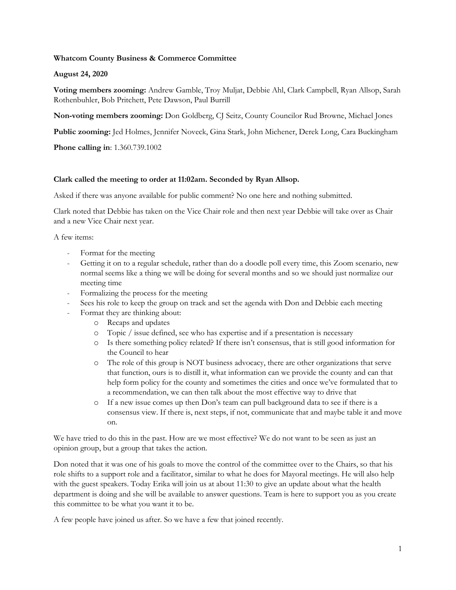## **Whatcom County Business & Commerce Committee**

## **August 24, 2020**

**Voting members zooming:** Andrew Gamble, Troy Muljat, Debbie Ahl, Clark Campbell, Ryan Allsop, Sarah Rothenbuhler, Bob Pritchett, Pete Dawson, Paul Burrill

**Non-voting members zooming:** Don Goldberg, CJ Seitz, County Councilor Rud Browne, Michael Jones

**Public zooming:** Jed Holmes, Jennifer Noveck, Gina Stark, John Michener, Derek Long, Cara Buckingham

**Phone calling in**: 1.360.739.1002

### **Clark called the meeting to order at 11:02am. Seconded by Ryan Allsop.**

Asked if there was anyone available for public comment? No one here and nothing submitted.

Clark noted that Debbie has taken on the Vice Chair role and then next year Debbie will take over as Chair and a new Vice Chair next year.

A few items:

- Format for the meeting
- Getting it on to a regular schedule, rather than do a doodle poll every time, this Zoom scenario, new normal seems like a thing we will be doing for several months and so we should just normalize our meeting time
- Formalizing the process for the meeting
- Sees his role to keep the group on track and set the agenda with Don and Debbie each meeting
- Format they are thinking about:
	- o Recaps and updates
	- o Topic / issue defined, see who has expertise and if a presentation is necessary
	- o Is there something policy related? If there isn't consensus, that is still good information for the Council to hear
	- o The role of this group is NOT business advocacy, there are other organizations that serve that function, ours is to distill it, what information can we provide the county and can that help form policy for the county and sometimes the cities and once we've formulated that to a recommendation, we can then talk about the most effective way to drive that
	- o If a new issue comes up then Don's team can pull background data to see if there is a consensus view. If there is, next steps, if not, communicate that and maybe table it and move on.

We have tried to do this in the past. How are we most effective? We do not want to be seen as just an opinion group, but a group that takes the action.

Don noted that it was one of his goals to move the control of the committee over to the Chairs, so that his role shifts to a support role and a facilitator, similar to what he does for Mayoral meetings. He will also help with the guest speakers. Today Erika will join us at about 11:30 to give an update about what the health department is doing and she will be available to answer questions. Team is here to support you as you create this committee to be what you want it to be.

A few people have joined us after. So we have a few that joined recently.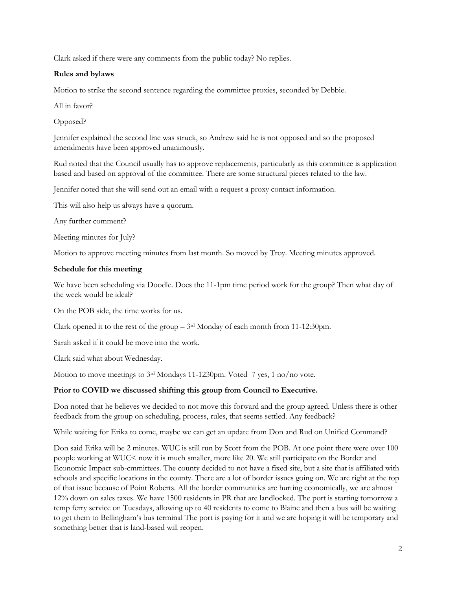Clark asked if there were any comments from the public today? No replies.

# **Rules and bylaws**

Motion to strike the second sentence regarding the committee proxies, seconded by Debbie.

All in favor?

Opposed?

Jennifer explained the second line was struck, so Andrew said he is not opposed and so the proposed amendments have been approved unanimously.

Rud noted that the Council usually has to approve replacements, particularly as this committee is application based and based on approval of the committee. There are some structural pieces related to the law.

Jennifer noted that she will send out an email with a request a proxy contact information.

This will also help us always have a quorum.

Any further comment?

Meeting minutes for July?

Motion to approve meeting minutes from last month. So moved by Troy. Meeting minutes approved.

### **Schedule for this meeting**

We have been scheduling via Doodle. Does the 11-1pm time period work for the group? Then what day of the week would be ideal?

On the POB side, the time works for us.

Clark opened it to the rest of the group  $-3<sup>rd</sup>$  Monday of each month from 11-12:30pm.

Sarah asked if it could be move into the work.

Clark said what about Wednesday.

Motion to move meetings to 3rd Mondays 11-1230pm. Voted 7 yes, 1 no/no vote.

## **Prior to COVID we discussed shifting this group from Council to Executive.**

Don noted that he believes we decided to not move this forward and the group agreed. Unless there is other feedback from the group on scheduling, process, rules, that seems settled. Any feedback?

While waiting for Erika to come, maybe we can get an update from Don and Rud on Unified Command?

Don said Erika will be 2 minutes. WUC is still run by Scott from the POB. At one point there were over 100 people working at WUC< now it is much smaller, more like 20. We still participate on the Border and Economic Impact sub-cmmittees. The county decided to not have a fixed site, but a site that is affiliated with schools and specific locations in the county. There are a lot of border issues going on. We are right at the top of that issue because of Point Roberts. All the border communities are hurting economically, we are almost 12% down on sales taxes. We have 1500 residents in PR that are landlocked. The port is starting tomorrow a temp ferry service on Tuesdays, allowing up to 40 residents to come to Blaine and then a bus will be waiting to get them to Bellingham's bus terminal The port is paying for it and we are hoping it will be temporary and something better that is land-based will reopen.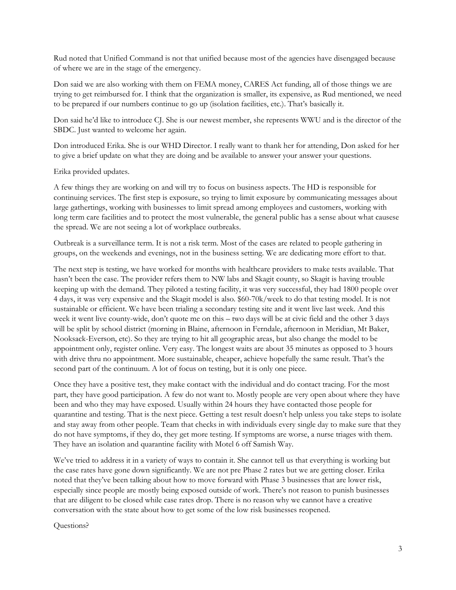Rud noted that Unified Command is not that unified because most of the agencies have disengaged because of where we are in the stage of the emergency.

Don said we are also working with them on FEMA money, CARES Act funding, all of those things we are trying to get reimbursed for. I think that the organization is smaller, its expensive, as Rud mentioned, we need to be prepared if our numbers continue to go up (isolation facilities, etc.). That's basically it.

Don said he'd like to introduce CJ. She is our newest member, she represents WWU and is the director of the SBDC. Just wanted to welcome her again.

Don introduced Erika. She is our WHD Director. I really want to thank her for attending, Don asked for her to give a brief update on what they are doing and be available to answer your answer your questions.

Erika provided updates.

A few things they are working on and will try to focus on business aspects. The HD is responsible for continuing services. The first step is exposure, so trying to limit exposure by communicating messages about large gathertings, working with businesses to limit spread among employees and customers, working with long term care facilities and to protect the most vulnerable, the general public has a sense about what causese the spread. We are not seeing a lot of workplace outbreaks.

Outbreak is a surveillance term. It is not a risk term. Most of the cases are related to people gathering in groups, on the weekends and evenings, not in the business setting. We are dedicating more effort to that.

The next step is testing, we have worked for months with healthcare providers to make tests available. That hasn't been the case. The provider refers them to NW labs and Skagit county, so Skagit is having trouble keeping up with the demand. They piloted a testing facility, it was very successful, they had 1800 people over 4 days, it was very expensive and the Skagit model is also. \$60-70k/week to do that testing model. It is not sustainable or efficient. We have been trialing a secondary testing site and it went live last week. And this week it went live county-wide, don't quote me on this – two days will be at civic field and the other 3 days will be split by school district (morning in Blaine, afternoon in Ferndale, afternoon in Meridian, Mt Baker, Nooksack-Everson, etc). So they are trying to hit all geographic areas, but also change the model to be appointment only, register online. Very easy. The longest waits are about 35 minutes as opposed to 3 hours with drive thru no appointment. More sustainable, cheaper, achieve hopefully the same result. That's the second part of the continuum. A lot of focus on testing, but it is only one piece.

Once they have a positive test, they make contact with the individual and do contact tracing. For the most part, they have good participation. A few do not want to. Mostly people are very open about where they have been and who they may have exposed. Usually within 24 hours they have contacted those people for quarantine and testing. That is the next piece. Getting a test result doesn't help unless you take steps to isolate and stay away from other people. Team that checks in with individuals every single day to make sure that they do not have symptoms, if they do, they get more testing. If symptoms are worse, a nurse triages with them. They have an isolation and quarantine facility with Motel 6 off Samish Way.

We've tried to address it in a variety of ways to contain it. She cannot tell us that everything is working but the case rates have gone down significantly. We are not pre Phase 2 rates but we are getting closer. Erika noted that they've been talking about how to move forward with Phase 3 businesses that are lower risk, especially since people are mostly being exposed outside of work. There's not reason to punish businesses that are diligent to be closed while case rates drop. There is no reason why we cannot have a creative conversation with the state about how to get some of the low risk businesses reopened.

Questions?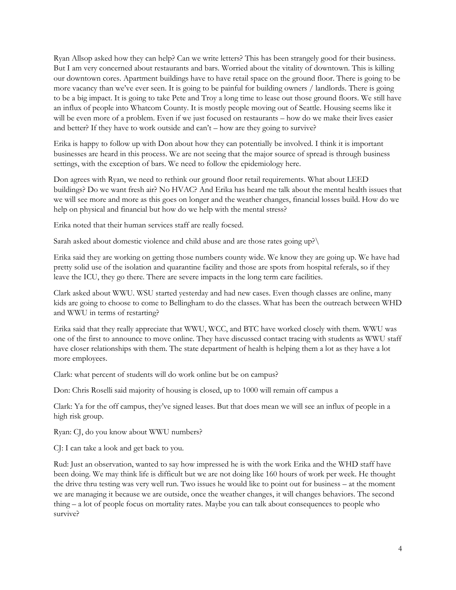Ryan Allsop asked how they can help? Can we write letters? This has been strangely good for their business. But I am very concerned about restaurants and bars. Worried about the vitality of downtown. This is killing our downtown cores. Apartment buildings have to have retail space on the ground floor. There is going to be more vacancy than we've ever seen. It is going to be painful for building owners / landlords. There is going to be a big impact. It is going to take Pete and Troy a long time to lease out those ground floors. We still have an influx of people into Whatcom County. It is mostly people moving out of Seattle. Housing seems like it will be even more of a problem. Even if we just focused on restaurants – how do we make their lives easier and better? If they have to work outside and can't – how are they going to survive?

Erika is happy to follow up with Don about how they can potentially be involved. I think it is important businesses are heard in this process. We are not seeing that the major source of spread is through business settings, with the exception of bars. We need to follow the epidemiology here.

Don agrees with Ryan, we need to rethink our ground floor retail requirements. What about LEED buildings? Do we want fresh air? No HVAC? And Erika has heard me talk about the mental health issues that we will see more and more as this goes on longer and the weather changes, financial losses build. How do we help on physical and financial but how do we help with the mental stress?

Erika noted that their human services staff are really focsed.

Sarah asked about domestic violence and child abuse and are those rates going up?\

Erika said they are working on getting those numbers county wide. We know they are going up. We have had pretty solid use of the isolation and quarantine facility and those are spots from hospital referals, so if they leave the ICU, they go there. There are severe impacts in the long term care facilities.

Clark asked about WWU. WSU started yesterday and had new cases. Even though classes are online, many kids are going to choose to come to Bellingham to do the classes. What has been the outreach between WHD and WWU in terms of restarting?

Erika said that they really appreciate that WWU, WCC, and BTC have worked closely with them. WWU was one of the first to announce to move online. They have discussed contact tracing with students as WWU staff have closer relationships with them. The state department of health is helping them a lot as they have a lot more employees.

Clark: what percent of students will do work online but be on campus?

Don: Chris Roselli said majority of housing is closed, up to 1000 will remain off campus a

Clark: Ya for the off campus, they've signed leases. But that does mean we will see an influx of people in a high risk group.

Ryan: CJ, do you know about WWU numbers?

CJ: I can take a look and get back to you.

Rud: Just an observation, wanted to say how impressed he is with the work Erika and the WHD staff have been doing. We may think life is difficult but we are not doing like 160 hours of work per week. He thought the drive thru testing was very well run. Two issues he would like to point out for business – at the moment we are managing it because we are outside, once the weather changes, it will changes behaviors. The second thing – a lot of people focus on mortality rates. Maybe you can talk about consequences to people who survive?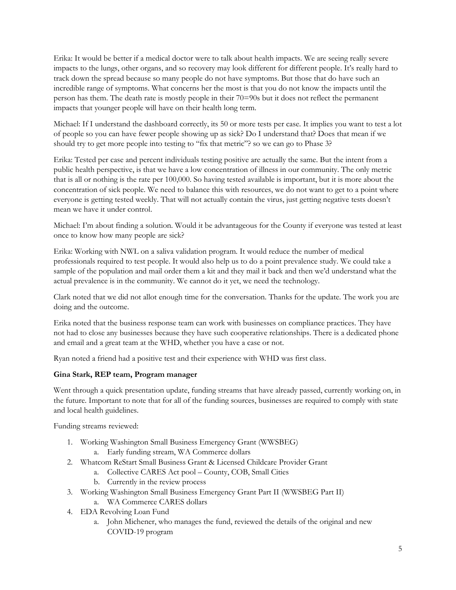Erika: It would be better if a medical doctor were to talk about health impacts. We are seeing really severe impacts to the lungs, other organs, and so recovery may look different for different people. It's really hard to track down the spread because so many people do not have symptoms. But those that do have such an incredible range of symptoms. What concerns her the most is that you do not know the impacts until the person has them. The death rate is mostly people in their 70=90s but it does not reflect the permanent impacts that younger people will have on their health long term.

Michael: If I understand the dashboard correctly, its 50 or more tests per case. It implies you want to test a lot of people so you can have fewer people showing up as sick? Do I understand that? Does that mean if we should try to get more people into testing to "fix that metric"? so we can go to Phase 3?

Erika: Tested per case and percent individuals testing positive are actually the same. But the intent from a public health perspective, is that we have a low concentration of illness in our community. The only metric that is all or nothing is the rate per 100,000. So having tested available is important, but it is more about the concentration of sick people. We need to balance this with resources, we do not want to get to a point where everyone is getting tested weekly. That will not actually contain the virus, just getting negative tests doesn't mean we have it under control.

Michael: I'm about finding a solution. Would it be advantageous for the County if everyone was tested at least once to know how many people are sick?

Erika: Working with NWL on a saliva validation program. It would reduce the number of medical professionals required to test people. It would also help us to do a point prevalence study. We could take a sample of the population and mail order them a kit and they mail it back and then we'd understand what the actual prevalence is in the community. We cannot do it yet, we need the technology.

Clark noted that we did not allot enough time for the conversation. Thanks for the update. The work you are doing and the outcome.

Erika noted that the business response team can work with businesses on compliance practices. They have not had to close any businesses because they have such cooperative relationships. There is a dedicated phone and email and a great team at the WHD, whether you have a case or not.

Ryan noted a friend had a positive test and their experience with WHD was first class.

# **Gina Stark, REP team, Program manager**

Went through a quick presentation update, funding streams that have already passed, currently working on, in the future. Important to note that for all of the funding sources, businesses are required to comply with state and local health guidelines.

Funding streams reviewed:

- 1. Working Washington Small Business Emergency Grant (WWSBEG)
	- a. Early funding stream, WA Commerce dollars
- 2. Whatcom ReStart Small Business Grant & Licensed Childcare Provider Grant
	- a. Collective CARES Act pool County, COB, Small Cities
	- b. Currently in the review process
- 3. Working Washington Small Business Emergency Grant Part II (WWSBEG Part II)
	- a. WA Commerce CARES dollars
- 4. EDA Revolving Loan Fund
	- a. John Michener, who manages the fund, reviewed the details of the original and new COVID-19 program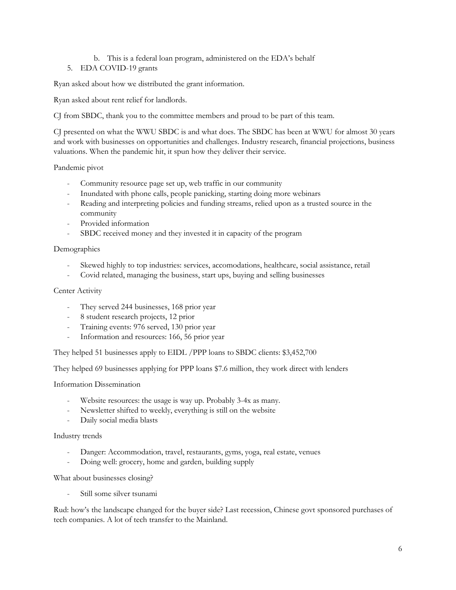## b. This is a federal loan program, administered on the EDA's behalf

# 5. EDA COVID-19 grants

Ryan asked about how we distributed the grant information.

Ryan asked about rent relief for landlords.

CJ from SBDC, thank you to the committee members and proud to be part of this team.

CJ presented on what the WWU SBDC is and what does. The SBDC has been at WWU for almost 30 years and work with businesses on opportunities and challenges. Industry research, financial projections, business valuations. When the pandemic hit, it spun how they deliver their service.

Pandemic pivot

- Community resource page set up, web traffic in our community
- Inundated with phone calls, people panicking, starting doing more webinars
- Reading and interpreting policies and funding streams, relied upon as a trusted source in the community
- Provided information
- SBDC received money and they invested it in capacity of the program

# Demographics

- Skewed highly to top industries: services, accomodations, healthcare, social assistance, retail
- Covid related, managing the business, start ups, buying and selling businesses

## Center Activity

- They served 244 businesses, 168 prior year
- 8 student research projects, 12 prior
- Training events: 976 served, 130 prior year
- Information and resources: 166, 56 prior year

They helped 51 businesses apply to EIDL /PPP loans to SBDC clients: \$3,452,700

They helped 69 businesses applying for PPP loans \$7.6 million, they work direct with lenders

Information Dissemination

- Website resources: the usage is way up. Probably 3-4x as many.
- Newsletter shifted to weekly, everything is still on the website
- Daily social media blasts

## Industry trends

- Danger: Accommodation, travel, restaurants, gyms, yoga, real estate, venues
- Doing well: grocery, home and garden, building supply

What about businesses closing?

- Still some silver tsunami

Rud: how's the landscape changed for the buyer side? Last recession, Chinese govt sponsored purchases of tech companies. A lot of tech transfer to the Mainland.